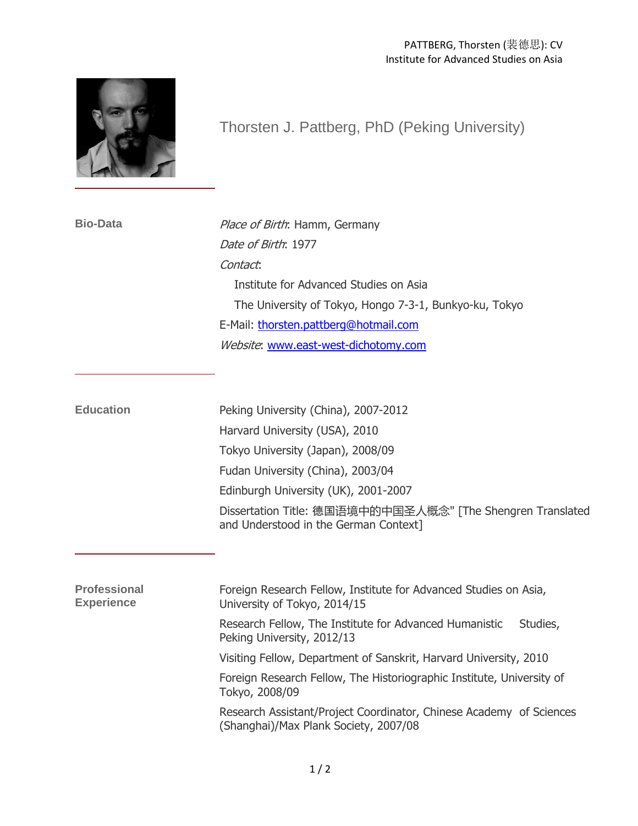

## Thorsten J. Pattberg, PhD (Peking University)

**Bio-Data** Place of Birth: Hamm, Germany Date of Birth: 1977 Contact: Institute for Advanced Studies on Asia The University of Tokyo, Hongo 7-3-1, Bunkyo-ku, Tokyo E-Mail: [thorsten.pattberg@hotmail.com](mailto:thorsten.pattberg@hotmail.com) Website: [www.east-west-dichotomy.com](http://www.east-west-dichotomy.com/)

| <b>Education</b> | Peking University (China), 2007-2012                                                                |
|------------------|-----------------------------------------------------------------------------------------------------|
|                  | Harvard University (USA), 2010                                                                      |
|                  | Tokyo University (Japan), 2008/09                                                                   |
|                  | Fudan University (China), 2003/04                                                                   |
|                  | Edinburgh University (UK), 2001-2007                                                                |
|                  | Dissertation Title: 德国语境中的中国圣人概念" [The Shengren Translated<br>and Understood in the German Context] |

| <b>Professional</b><br><b>Experience</b> | Foreign Research Fellow, Institute for Advanced Studies on Asia,<br>University of Tokyo, 2014/15             |
|------------------------------------------|--------------------------------------------------------------------------------------------------------------|
|                                          | Research Fellow, The Institute for Advanced Humanistic<br>Studies,<br>Peking University, 2012/13             |
|                                          | Visiting Fellow, Department of Sanskrit, Harvard University, 2010                                            |
|                                          | Foreign Research Fellow, The Historiographic Institute, University of<br>Tokyo, 2008/09                      |
|                                          | Research Assistant/Project Coordinator, Chinese Academy of Sciences<br>(Shanghai)/Max Plank Society, 2007/08 |